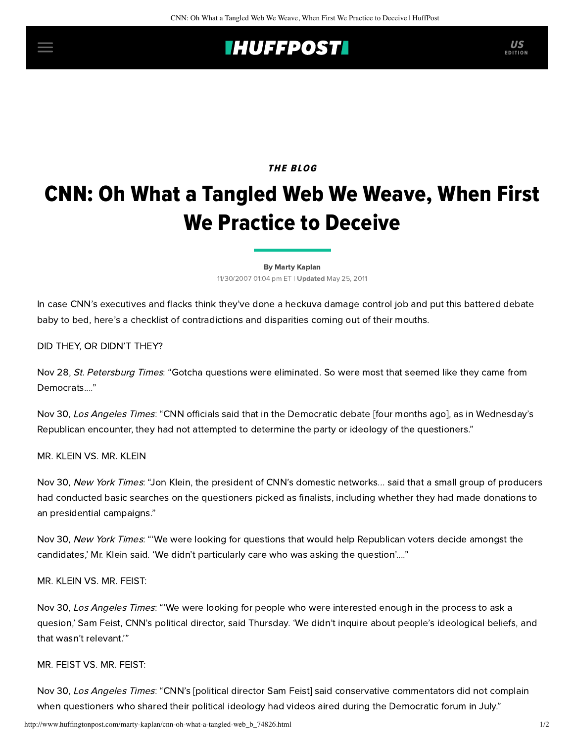## **INUFFPOSTI** US

### THE BLOG

# CNN: Oh What a Tangled Web We Weave, When First We Practice to Deceive

[By Marty Kaplan](http://www.huffingtonpost.com/author/marty-kaplan) 11/30/2007 01:04 pm ET | Updated May 25, 2011

In case CNN's executives and flacks think they've done a heckuva damage control job and put this battered debate [baby to bed, here's a checklist of contradictions and disparities coming out of their mouths.](http://www.huffingtonpost.com/marty-kaplan/cnn-flack-sez-im-pretty_b_74505.html)

DID THEY, OR DIDN'T THEY?

Nov 28, [St. Petersburg Times](http://www.sptimes.com/2007/11/28/State/Peek_inside_CNN_s_inn.shtml): "Gotcha questions were eliminated. So were most that seemed like they came from Democrats...."

Nov 30, [Los Angeles Times](http://www.latimes.com/news/printedition/asection/la-na-youtube30nov30,1,4823606.story): "CNN officials said that in the Democratic debate [four months ago], as in Wednesday's Republican encounter, they had not attempted to determine the party or ideology of the questioners."

MR. KLEIN VS. MR. KLEIN

[Nov 30,](http://www.nytimes.com/2007/11/30/us/politics/30repubs.html?_r=1&oref=slogin) New York Times: "Jon Klein, the president of CNN's domestic networks... said that a small group of producers had conducted basic searches on the questioners picked as finalists, including whether they had made donations to an presidential campaigns."

[Nov 30,](http://www.nytimes.com/2007/11/30/us/politics/30repubs.html?_r=1&oref=slogin) New York Times: "'We were looking for questions that would help Republican voters decide amongst the candidates,' Mr. Klein said. 'We didn't particularly care who was asking the question'...."

MR. KLEIN VS. MR. FEIST:

Nov 30, [Los Angeles Times](http://www.latimes.com/news/printedition/asection/la-na-youtube30nov30,1,4823606.story): "'We were looking for people who were interested enough in the process to ask a quesion,' Sam Feist, CNN's political director, said Thursday. 'We didn't inquire about people's ideological beliefs, and that wasn't relevant.'"

#### MR. FEIST VS. MR. FEIST:

Nov 30, [Los Angeles Times](http://www.latimes.com/news/printedition/asection/la-na-youtube30nov30,1,4823606.story): "CNN's [political director Sam Feist] said conservative commentators did not complain when questioners who shared their political ideology had videos aired during the Democratic forum in July."